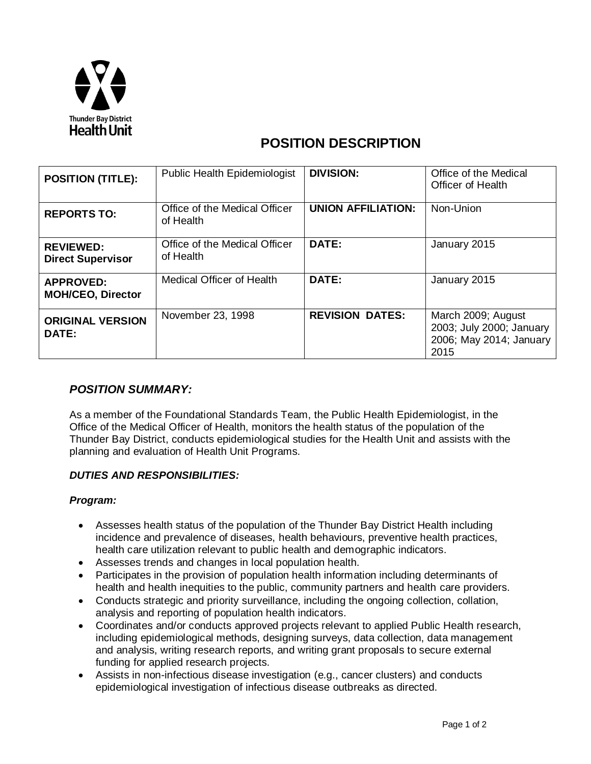

# **POSITION DESCRIPTION**

| <b>POSITION (TITLE):</b>                     | <b>Public Health Epidemiologist</b>        | <b>DIVISION:</b>          | Office of the Medical<br><b>Officer of Health</b>                                   |
|----------------------------------------------|--------------------------------------------|---------------------------|-------------------------------------------------------------------------------------|
| <b>REPORTS TO:</b>                           | Office of the Medical Officer<br>of Health | <b>UNION AFFILIATION:</b> | Non-Union                                                                           |
| <b>REVIEWED:</b><br><b>Direct Supervisor</b> | Office of the Medical Officer<br>of Health | DATE:                     | January 2015                                                                        |
| <b>APPROVED:</b><br><b>MOH/CEO, Director</b> | <b>Medical Officer of Health</b>           | DATE:                     | January 2015                                                                        |
| <b>ORIGINAL VERSION</b><br><b>DATE:</b>      | November 23, 1998                          | <b>REVISION DATES:</b>    | March 2009; August<br>2003; July 2000; January<br>2006; May 2014; January  <br>2015 |

## *POSITION SUMMARY:*

As a member of the Foundational Standards Team, the Public Health Epidemiologist, in the Office of the Medical Officer of Health, monitors the health status of the population of the Thunder Bay District, conducts epidemiological studies for the Health Unit and assists with the planning and evaluation of Health Unit Programs.

## *DUTIES AND RESPONSIBILITIES:*

#### *Program:*

- Assesses health status of the population of the Thunder Bay District Health including incidence and prevalence of diseases, health behaviours, preventive health practices, health care utilization relevant to public health and demographic indicators.
- Assesses trends and changes in local population health.
- Participates in the provision of population health information including determinants of health and health inequities to the public, community partners and health care providers.
- Conducts strategic and priority surveillance, including the ongoing collection, collation, analysis and reporting of population health indicators.
- Coordinates and/or conducts approved projects relevant to applied Public Health research, including epidemiological methods, designing surveys, data collection, data management and analysis, writing research reports, and writing grant proposals to secure external funding for applied research projects.
- Assists in non-infectious disease investigation (e.g., cancer clusters) and conducts epidemiological investigation of infectious disease outbreaks as directed.